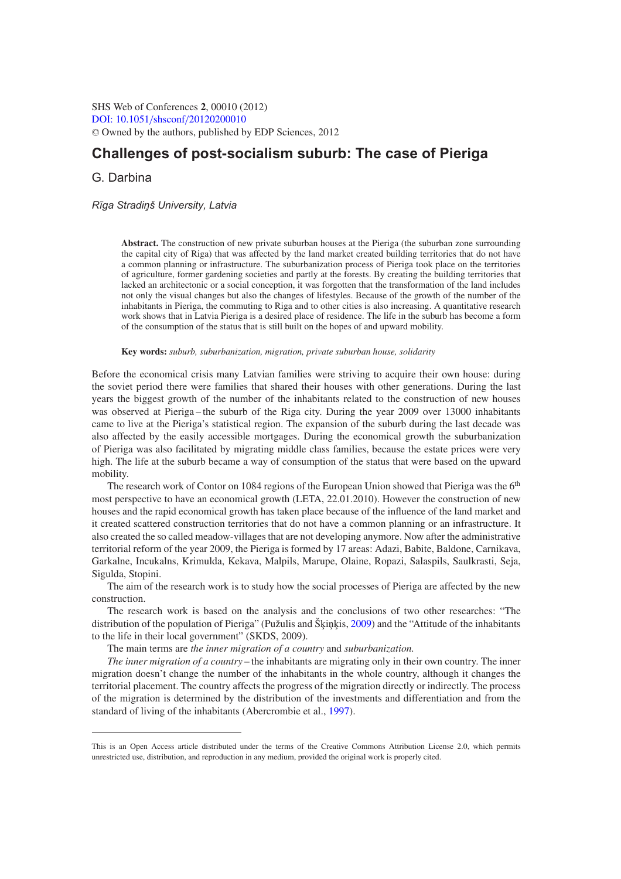SHS Web of Conferences **2**, 00010 (2012) [DOI: 10.1051](http://dx.doi.org/10.1051/shsconf/20120200010)/shsconf/20120200010 <sup>C</sup> Owned by the authors, published by EDP Sciences, 2012

# **Challenges of post-socialism suburb: The case of Pieriga**

G. Darbina

*R¯ıga Stradin¸ š University, Latvia*

**Abstract.** The construction of new private suburban houses at the Pieriga (the suburban zone surrounding the capital city of Riga) that was affected by the land market created building territories that do not have a common planning or infrastructure. The suburbanization process of Pieriga took place on the territories of agriculture, former gardening societies and partly at the forests. By creating the building territories that lacked an architectonic or a social conception, it was forgotten that the transformation of the land includes not only the visual changes but also the changes of lifestyles. Because of the growth of the number of the inhabitants in Pieriga, the commuting to Riga and to other cities is also increasing. A quantitative research work shows that in Latvia Pieriga is a desired place of residence. The life in the suburb has become a form of the consumption of the status that is still built on the hopes of and upward mobility.

**Key words:** *suburb, suburbanization, migration, private suburban house, solidarity*

Before the economical crisis many Latvian families were striving to acquire their own house: during the soviet period there were families that shared their houses with other generations. During the last years the biggest growth of the number of the inhabitants related to the construction of new houses was observed at Pieriga-the suburb of the Riga city. During the year 2009 over 13000 inhabitants came to live at the Pieriga's statistical region. The expansion of the suburb during the last decade was also affected by the easily accessible mortgages. During the economical growth the suburbanization of Pieriga was also facilitated by migrating middle class families, because the estate prices were very high. The life at the suburb became a way of consumption of the status that were based on the upward mobility.

The research work of Contor on 1084 regions of the European Union showed that Pieriga was the 6<sup>th</sup> most perspective to have an economical growth (LETA, 22.01.2010). However the construction of new houses and the rapid economical growth has taken place because of the influence of the land market and it created scattered construction territories that do not have a common planning or an infrastructure. It also created the so called meadow-villages that are not developing anymore. Now after the administrative territorial reform of the year 2009, the Pieriga is formed by 17 areas: Adazi, Babite, Baldone, Carnikava, Garkalne, Incukalns, Krimulda, Kekava, Malpils, Marupe, Olaine, Ropazi, Salaspils, Saulkrasti, Seja, Sigulda, Stopini.

The aim of the research work is to study how the social processes of Pieriga are affected by the new construction.

The research work is based on the analysis and the conclusions of two other researches: "The distribution of the population of Pieriga" (Pužulis and Škinkis, [2009\)](#page-4-0) and the "Attitude of the inhabitants" to the life in their local government" (SKDS, 2009).

The main terms are *the inner migration of a country* and *suburbanization.*

*The inner migration of a country* – the inhabitants are migrating only in their own country. The inner migration doesn't change the number of the inhabitants in the whole country, although it changes the territorial placement. The country affects the progress of the migration directly or indirectly. The process of the migration is determined by the distribution of the investments and differentiation and from the standard of living of the inhabitants (Abercrombie et al., [1997\)](#page-4-1).

This is an Open Access article distributed under the terms of the Creative Commons Attribution License 2.0, which permits unrestricted use, distribution, and reproduction in any medium, provided the original work is properly cited.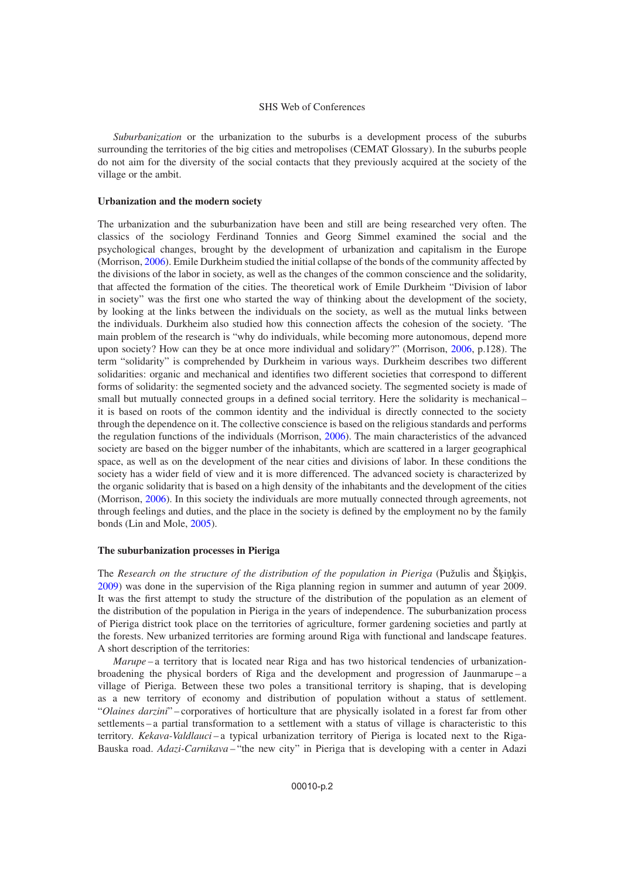### SHS Web of Conferences

*Suburbanization* or the urbanization to the suburbs is a development process of the suburbs surrounding the territories of the big cities and metropolises (CEMAT Glossary). In the suburbs people do not aim for the diversity of the social contacts that they previously acquired at the society of the village or the ambit.

#### **Urbanization and the modern society**

The urbanization and the suburbanization have been and still are being researched very often. The classics of the sociology Ferdinand Tonnies and Georg Simmel examined the social and the psychological changes, brought by the development of urbanization and capitalism in the Europe (Morrison, [2006\)](#page-4-2). Emile Durkheim studied the initial collapse of the bonds of the community affected by the divisions of the labor in society, as well as the changes of the common conscience and the solidarity, that affected the formation of the cities. The theoretical work of Emile Durkheim "Division of labor in society" was the first one who started the way of thinking about the development of the society, by looking at the links between the individuals on the society, as well as the mutual links between the individuals. Durkheim also studied how this connection affects the cohesion of the society. 'The main problem of the research is "why do individuals, while becoming more autonomous, depend more upon society? How can they be at once more individual and solidary?" (Morrison, [2006,](#page-4-2) p.128). The term "solidarity" is comprehended by Durkheim in various ways. Durkheim describes two different solidarities: organic and mechanical and identifies two different societies that correspond to different forms of solidarity: the segmented society and the advanced society. The segmented society is made of small but mutually connected groups in a defined social territory. Here the solidarity is mechanical – it is based on roots of the common identity and the individual is directly connected to the society through the dependence on it. The collective conscience is based on the religious standards and performs the regulation functions of the individuals (Morrison, [2006\)](#page-4-2). The main characteristics of the advanced society are based on the bigger number of the inhabitants, which are scattered in a larger geographical space, as well as on the development of the near cities and divisions of labor. In these conditions the society has a wider field of view and it is more differenced. The advanced society is characterized by the organic solidarity that is based on a high density of the inhabitants and the development of the cities (Morrison, [2006\)](#page-4-2). In this society the individuals are more mutually connected through agreements, not through feelings and duties, and the place in the society is defined by the employment no by the family bonds (Lin and Mole, [2005\)](#page-4-3).

#### **The suburbanization processes in Pieriga**

The *Research on the structure of the distribution of the population in Pieriga* (Pužulis and Škinkis, [2009\)](#page-4-0) was done in the supervision of the Riga planning region in summer and autumn of year 2009. It was the first attempt to study the structure of the distribution of the population as an element of the distribution of the population in Pieriga in the years of independence. The suburbanization process of Pieriga district took place on the territories of agriculture, former gardening societies and partly at the forests. New urbanized territories are forming around Riga with functional and landscape features. A short description of the territories:

*Marupe* – a territory that is located near Riga and has two historical tendencies of urbanizationbroadening the physical borders of Riga and the development and progression of Jaunmarupe – a village of Pieriga. Between these two poles a transitional territory is shaping, that is developing as a new territory of economy and distribution of population without a status of settlement. "*Olaines darzini*" – corporatives of horticulture that are physically isolated in a forest far from other settlements – a partial transformation to a settlement with a status of village is characteristic to this territory. *Kekava-Valdlauci* – a typical urbanization territory of Pieriga is located next to the Riga-Bauska road. *Adazi-Carnikava* – "the new city" in Pieriga that is developing with a center in Adazi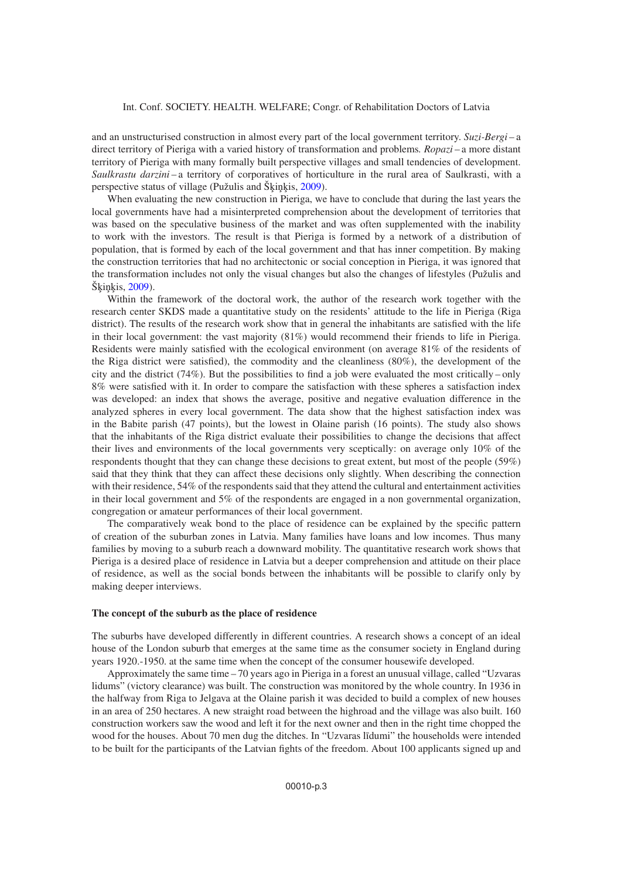and an unstructurised construction in almost every part of the local government territory. *Suzi-Bergi* – a direct territory of Pieriga with a varied history of transformation and problems*. Ropazi* – a more distant territory of Pieriga with many formally built perspective villages and small tendencies of development. *Saulkrastu darzini* – a territory of corporatives of horticulture in the rural area of Saulkrasti, with a perspective status of village (Pužulis and Šķiņķis, [2009\)](#page-4-0).

When evaluating the new construction in Pieriga, we have to conclude that during the last years the local governments have had a misinterpreted comprehension about the development of territories that was based on the speculative business of the market and was often supplemented with the inability to work with the investors. The result is that Pieriga is formed by a network of a distribution of population, that is formed by each of the local government and that has inner competition. By making the construction territories that had no architectonic or social conception in Pieriga, it was ignored that the transformation includes not only the visual changes but also the changes of lifestyles (Pužulis and  $\text{Škinkis}, 2009$ ).

Within the framework of the doctoral work, the author of the research work together with the research center SKDS made a quantitative study on the residents' attitude to the life in Pieriga (Riga district). The results of the research work show that in general the inhabitants are satisfied with the life in their local government: the vast majority (81%) would recommend their friends to life in Pieriga. Residents were mainly satisfied with the ecological environment (on average 81% of the residents of the Riga district were satisfied), the commodity and the cleanliness (80%), the development of the city and the district  $(74\%)$ . But the possibilities to find a job were evaluated the most critically – only 8% were satisfied with it. In order to compare the satisfaction with these spheres a satisfaction index was developed: an index that shows the average, positive and negative evaluation difference in the analyzed spheres in every local government. The data show that the highest satisfaction index was in the Babite parish (47 points), but the lowest in Olaine parish (16 points). The study also shows that the inhabitants of the Riga district evaluate their possibilities to change the decisions that affect their lives and environments of the local governments very sceptically: on average only 10% of the respondents thought that they can change these decisions to great extent, but most of the people (59%) said that they think that they can affect these decisions only slightly. When describing the connection with their residence, 54% of the respondents said that they attend the cultural and entertainment activities in their local government and 5% of the respondents are engaged in a non governmental organization, congregation or amateur performances of their local government.

The comparatively weak bond to the place of residence can be explained by the specific pattern of creation of the suburban zones in Latvia. Many families have loans and low incomes. Thus many families by moving to a suburb reach a downward mobility. The quantitative research work shows that Pieriga is a desired place of residence in Latvia but a deeper comprehension and attitude on their place of residence, as well as the social bonds between the inhabitants will be possible to clarify only by making deeper interviews.

# **The concept of the suburb as the place of residence**

The suburbs have developed differently in different countries. A research shows a concept of an ideal house of the London suburb that emerges at the same time as the consumer society in England during years 1920.-1950. at the same time when the concept of the consumer housewife developed.

Approximately the same time – 70 years ago in Pieriga in a forest an unusual village, called "Uzvaras lidums" (victory clearance) was built. The construction was monitored by the whole country. In 1936 in the halfway from Riga to Jelgava at the Olaine parish it was decided to build a complex of new houses in an area of 250 hectares. A new straight road between the highroad and the village was also built. 160 construction workers saw the wood and left it for the next owner and then in the right time chopped the wood for the houses. About 70 men dug the ditches. In "Uzvaras līdumi" the households were intended to be built for the participants of the Latvian fights of the freedom. About 100 applicants signed up and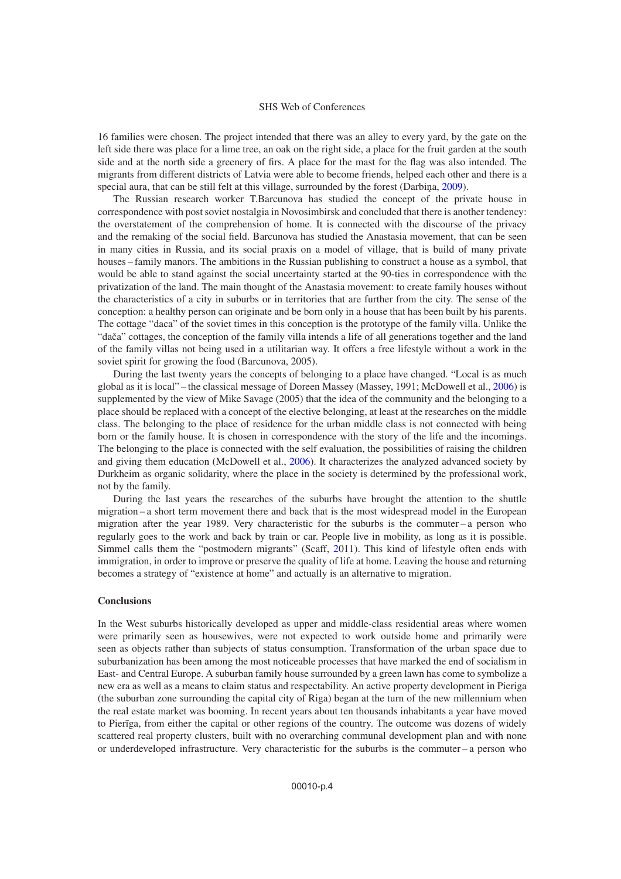### SHS Web of Conferences

16 families were chosen. The project intended that there was an alley to every yard, by the gate on the left side there was place for a lime tree, an oak on the right side, a place for the fruit garden at the south side and at the north side a greenery of firs. A place for the mast for the flag was also intended. The migrants from different districts of Latvia were able to become friends, helped each other and there is a special aura, that can be still felt at this village, surrounded by the forest (Darbina, [2009\)](#page-4-1).

The Russian research worker T.Barcunova has studied the concept of the private house in correspondence with post soviet nostalgia in Novosimbirsk and concluded that there is another tendency: the overstatement of the comprehension of home. It is connected with the discourse of the privacy and the remaking of the social field. Barcunova has studied the Anastasia movement, that can be seen in many cities in Russia, and its social praxis on a model of village, that is build of many private houses – family manors. The ambitions in the Russian publishing to construct a house as a symbol, that would be able to stand against the social uncertainty started at the 90-ties in correspondence with the privatization of the land. The main thought of the Anastasia movement: to create family houses without the characteristics of a city in suburbs or in territories that are further from the city. The sense of the conception: a healthy person can originate and be born only in a house that has been built by his parents. The cottage "daca" of the soviet times in this conception is the prototype of the family villa. Unlike the "dača" cottages, the conception of the family villa intends a life of all generations together and the land of the family villas not being used in a utilitarian way. It offers a free lifestyle without a work in the soviet spirit for growing the food (Barcunova, 2005).

During the last twenty years the concepts of belonging to a place have changed. "Local is as much global as it is local" – the classical message of Doreen Massey (Massey, 1991; McDowell et al., [2006\)](#page-4-4) is supplemented by the view of Mike Savage (2005) that the idea of the community and the belonging to a place should be replaced with a concept of the elective belonging, at least at the researches on the middle class. The belonging to the place of residence for the urban middle class is not connected with being born or the family house. It is chosen in correspondence with the story of the life and the incomings. The belonging to the place is connected with the self evaluation, the possibilities of raising the children and giving them education (McDowell et al., [2006\)](#page-4-4). It characterizes the analyzed advanced society by Durkheim as organic solidarity, where the place in the society is determined by the professional work, not by the family.

During the last years the researches of the suburbs have brought the attention to the shuttle migration – a short term movement there and back that is the most widespread model in the European migration after the year 1989. Very characteristic for the suburbs is the commuter – a person who regularly goes to the work and back by train or car. People live in mobility, as long as it is possible. Simmel calls them the "postmodern migrants" (Scaff, [20](#page-4-5)11). This kind of lifestyle often ends with immigration, in order to improve or preserve the quality of life at home. Leaving the house and returning becomes a strategy of "existence at home" and actually is an alternative to migration.

# **Conclusions**

In the West suburbs historically developed as upper and middle-class residential areas where women were primarily seen as housewives, were not expected to work outside home and primarily were seen as objects rather than subjects of status consumption. Transformation of the urban space due to suburbanization has been among the most noticeable processes that have marked the end of socialism in East- and Central Europe. A suburban family house surrounded by a green lawn has come to symbolize a new era as well as a means to claim status and respectability. An active property development in Pieriga (the suburban zone surrounding the capital city of Riga) began at the turn of the new millennium when the real estate market was booming. In recent years about ten thousands inhabitants a year have moved to Pierīga, from either the capital or other regions of the country. The outcome was dozens of widely scattered real property clusters, built with no overarching communal development plan and with none or underdeveloped infrastructure. Very characteristic for the suburbs is the commuter – a person who